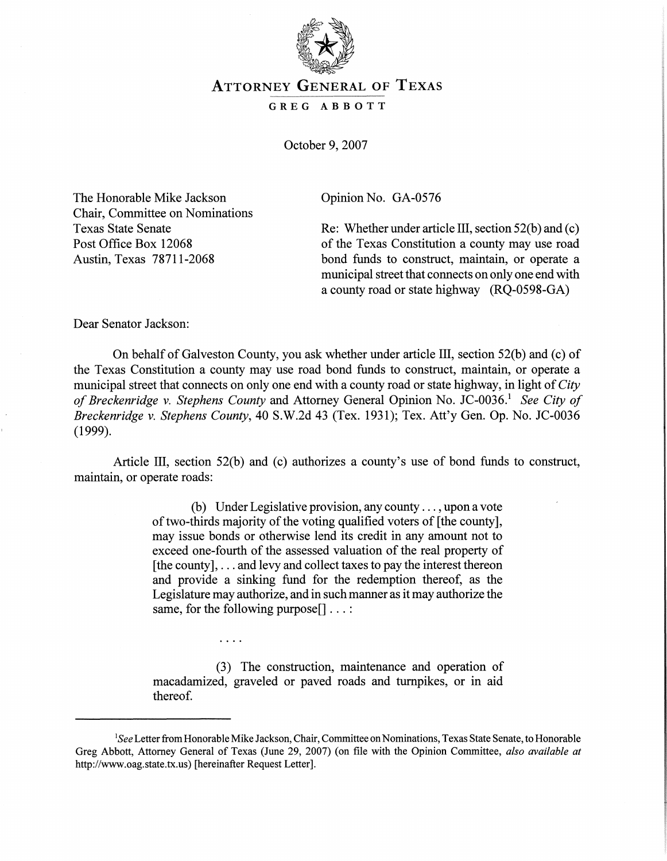

## ATTORNEY GENERAL OF TEXAS

## GREG ABBOTT

October 9,2007

The Honorable Mike Jackson Chair, Committee on Nominations Texas State Senate Post Office Box 12068 Austin, Texas 78711-2068

Opinion No. GA-0576

Re: Whether under article III, section 52(b) and (c) of the Texas Constitution a county may use road bond funds to construct, maintain, or operate a municipal street that connects on only one end with a county road or state highway (RQ-0598-GA)

Dear Senator Jackson:

On behalf of Galveston County, you ask whether under article III, section 52(b) and (c) of the Texas Constitution a county may use road bond funds to construct, maintain, or operate a municipal street that connects on only one end with a county road or state highway, in light of*City ofBreckenridge* v. *Stephens County* and Attorney General Opinion No. JC-0036. <sup>1</sup> *See City of Breckenridge* v. *Stephens County*, 40 S.W.2d 43 (Tex. 1931); Tex. Att'y Gen. Op. No. JC-0036 (1999).

Article III, section 52(b) and (c) authorizes a county's use of bond funds to construct, maintain, or operate roads:

> (b) Under Legislative provision, any county ... , upon a vote of two-thirds majority of the voting qualified voters of [the county], may issue bonds or otherwise lend its credit in any amount not to exceed one-fourth of the assessed valuation of the real property of  $[the count v], \ldots$  and levy and collect taxes to pay the interest thereon and provide a sinking fund for the redemption thereof, as the Legislature may authorize, and in such manner as it may authorize the same, for the following purpose<sup>[]</sup> ...:

> (3) The construction, maintenance and operation of macadamized, graveled or paved roads and turnpikes, or in aid thereof.

 $\cdots$ 

<sup>&</sup>lt;sup>1</sup>See Letter from Honorable Mike Jackson, Chair, Committee on Nominations, Texas State Senate, to Honorable Greg Abbott, Attorney General of Texas (June 29, 2007) (on file with the Opinion Committee, *also available at* http://www.oag.state.tx.us) [hereinafter Request Letter].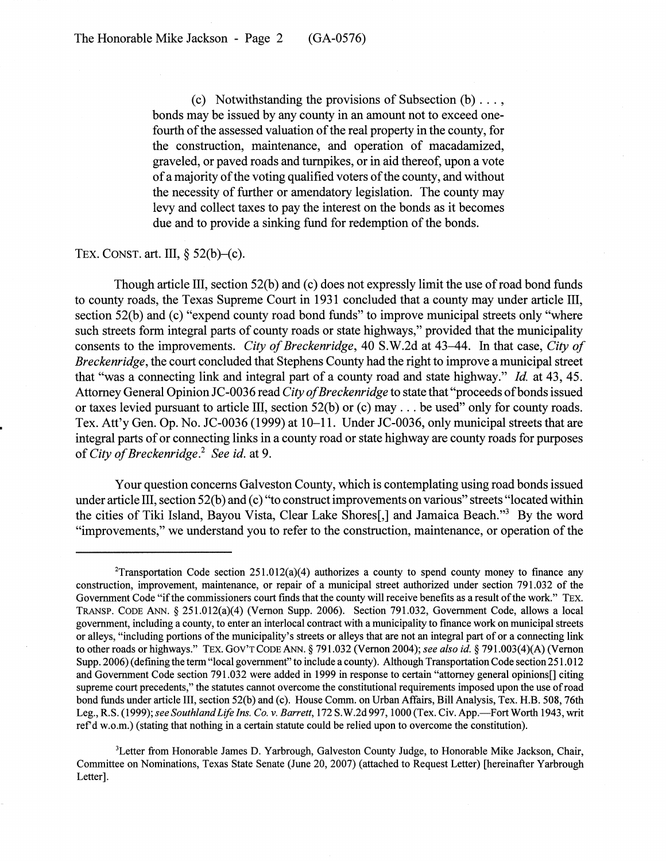(c) Notwithstanding the provisions of Subsection  $(b) \ldots$ , bonds may be issued by any county in an amount not to exceed onefourth of the assessed valuation of the real property in the county, for the construction, maintenance, and operation of macadamized, graveled, or paved roads and turnpikes, or in aid thereof, upon a vote of a majority of the voting qualified voters of the county, and without the necessity of further or amendatory legislation. The county may levy and collect taxes to pay the interest on the bonds as it becomes due and to provide a sinking fund for redemption of the bonds.

## TEX. CONST. art. III,  $\S$  52(b)–(c).

Though article III, section 52(b) and (c) does not expressly limit the use ofroad bond funds to county roads, the Texas Supreme Court in 1931 concluded that a county may under article III, section 52(b) and (c) "expend county road bond funds" to improve municipal streets only "where such streets form integral parts of county roads or state highways," provided that the municipality consents to the improvements. *City of Breckenridge*, 40 S.W.2d at 43–44. In that case, *City of Breckenridge,* the court concluded that Stephens County had the right to improve a municipal street that "was a connecting link and integral part of a county road and state highway." *Id.* at 43, 45. Attorney General Opinion JC-0036 read *City of Breckenridge* to state that "proceeds of bonds issued or taxes levied pursuant to article III, section 52(b) or (c) may ... be used" only for county roads. Tex. Att'y Gen. Op. No. JC-0036 (1999) at  $10-11$ . Under JC-0036, only municipal streets that are integral parts of or connecting links in a county road or state highway are county roads for purposes of*City ofBreckenridge.*<sup>2</sup> *See id.at* 9.

Your question concerns Galveston County, which is contemplating using road bonds issued under article III, section 52(b) and (c) "to construct improvements on various" streets "located within the cities of Tiki Island, Bayou Vista, Clear Lake Shores<sup>[1]</sup>, and Jamaica Beach.<sup>3</sup> By the word "improvements," we understand you to refer to the construction, maintenance, or operation of the

<sup>&</sup>lt;sup>2</sup>Transportation Code section  $251.012(a)(4)$  authorizes a county to spend county money to finance any construction, improvement, maintenance, or repair of a municipal street authorized under section 791.032 of the Government Code "if the commissioners court finds that the county will receive benefits as a result of the work." TEX. TRANSP. CODE ANN. § 251.012(a)(4) (Vernon Supp. 2006). Section 791.032, Government Code, allows a local government, including a county, to enter an interlocal contract with a municipality to fmance work on municipal streets or alleys, "including portions ofthe municipality's streets or alleys that are not an integral part of or a connecting link to other roads or highways." TEX. GOV'T CODE ANN. § 791.032 (Vernon 2004); *see also ide* § 791.003(4)(A) (Vernon Supp. 2006) (defining the term "local government" to include a county). Although Transportation Code section 251.012 and Government Code section 791.032 were added in 1999 in response to certain "attorney general opinions[] citing supreme court precedents," the statutes cannot overcome the constitutional requirements imposed upon the use ofroad bond funds under article III, section 52(b) and (c). House Comm. on Urban Affairs, Bill Analysis, Tex. H.B. 508, 76th Leg., R.S. (1999); *see SouthlandLife Ins. Co.* v. *Barrett,* 172 S.W.2d 997, 1000 (Tex. Civ. App.-Fort Worth 1943, writ refd w.o.m.) (stating that nothing in a certain statute could be relied upon to overcome the constitution).

<sup>&</sup>lt;sup>3</sup>Letter from Honorable James D. Yarbrough, Galveston County Judge, to Honorable Mike Jackson, Chair, Committee on Nominations, Texas State Senate (June 20, 2007) (attached to Request Letter) [hereinafter Yarbrough Letter].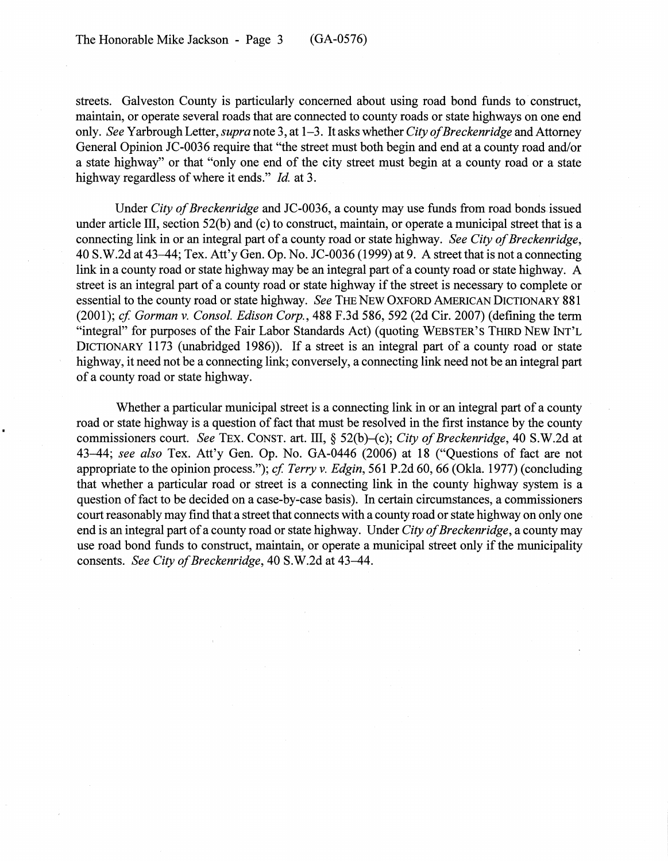streets. Galveston County is particularly concerned about using road bond funds to construct, maintain, or operate several roads that are connected to county roads or state highways on one end only. *See* Yarbrough Letter, *supra* note 3, at 1-3. It asks whether *City ofBreckenridge* and Attorney General Opinion JC-0036 require that "the street must both begin and end at a county road and/or a state highway" or that "only one end of the city street must begin at a county road or a state highway regardless of where it ends." *Id.* at 3.

Under *City of Breckenridge* and JC-0036, a county may use funds from road bonds issued under article III, section 52(b) and (c) to construct, maintain, or operate a municipal street that is a connecting link in or an integral part of a county road or state highway. *See City of Breckenridge*,  $40 S.W.2d$  at  $43-44$ ; Tex. Att'y Gen. Op. No. JC-0036 (1999) at 9. A street that is not a connecting link in a county road or state highway may be an integral part of a county road or state highway. A street is an integral part of a county road or state highway if the street is necessary to complete or essential to the county road or state highway. *See* THE NEW OXFORD AMERICAN DICTIONARY 881 *(2001); cf Gorman* v. *Consol. Edison Corp.,* 488 F.3d 586, 592 (2d Cir. 2007) (defining the term "integral" for purposes of the Fair Labor Standards Act) (quoting WEBSTER'S THIRD NEW INT'L DICTIONARY 1173 (unabridged 1986)). If a street is an integral part of a county road or state highway, it need not be a connecting link; conversely, a connecting link need not be an integral part of a county road or state highway.

Whether a particular municipal street is a connecting link in or an integral part of a county road or state highway is a question of fact that must be resolved in the first instance by the county commissioners court. *See* TEX. CONST. art. III, § 52(b)–(c); *City of Breckenridge*, 40 S.W.2d at 43-44; see also Tex. Att'y Gen. Op. No. GA-0446 (2006) at 18 ("Questions of fact are not appropriate to the opinion process."); *cf Terry* v. *Edgin,* 561 P.2d 60, 66 (Okla. 1977) (concluding that whether a particular road or street is a connecting link in the county highway system is a question of fact to be decided on a case-by-case basis). In certain circumstances, a commissioners court reasonably may find that a street that connects with a county road or state highway on only one end is an integral part of a county road or state highway. Under *City of Breckenridge*, a county may use road bond funds to construct, maintain, or operate a municipal street only if the municipality consents. *See City of Breckenridge*, 40 S.W.2d at 43-44.